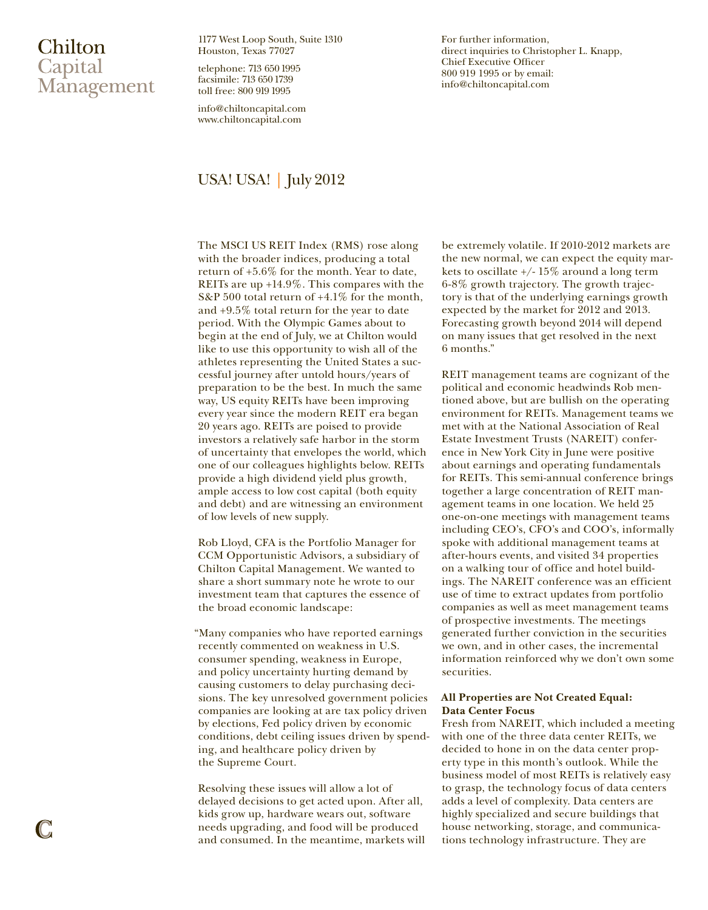# Chilton Capital Management

1177 West Loop South, Suite 1310 Houston, Texas 77027

telephone: 713 650 1995 facsimile: 713 650 1739 toll free: 800 919 1995

info@chiltoncapital.com www.chiltoncapital.com

## USA! USA! | July 2012

The MSCI US REIT Index (RMS) rose along with the broader indices, producing a total return of +5.6% for the month. Year to date, REITs are up +14.9%. This compares with the S&P 500 total return of +4.1% for the month, and +9.5% total return for the year to date period. With the Olympic Games about to begin at the end of July, we at Chilton would like to use this opportunity to wish all of the athletes representing the United States a successful journey after untold hours/years of preparation to be the best. In much the same way, US equity REITs have been improving every year since the modern REIT era began 20 years ago. REITs are poised to provide investors a relatively safe harbor in the storm of uncertainty that envelopes the world, which one of our colleagues highlights below. REITs provide a high dividend yield plus growth, ample access to low cost capital (both equity and debt) and are witnessing an environment of low levels of new supply.

Rob Lloyd, CFA is the Portfolio Manager for CCM Opportunistic Advisors, a subsidiary of Chilton Capital Management. We wanted to share a short summary note he wrote to our investment team that captures the essence of the broad economic landscape:

"Many companies who have reported earnings recently commented on weakness in U.S. consumer spending, weakness in Europe, and policy uncertainty hurting demand by causing customers to delay purchasing decisions. The key unresolved government policies companies are looking at are tax policy driven by elections, Fed policy driven by economic conditions, debt ceiling issues driven by spending, and healthcare policy driven by the Supreme Court.

Resolving these issues will allow a lot of delayed decisions to get acted upon. After all, kids grow up, hardware wears out, software needs upgrading, and food will be produced and consumed. In the meantime, markets will For further information, direct inquiries to Christopher L. Knapp, Chief Executive Officer 800 919 1995 or by email: info@chiltoncapital.com

be extremely volatile. If 2010-2012 markets are the new normal, we can expect the equity markets to oscillate +/- 15% around a long term 6-8% growth trajectory. The growth trajectory is that of the underlying earnings growth expected by the market for 2012 and 2013. Forecasting growth beyond 2014 will depend on many issues that get resolved in the next 6 months."

REIT management teams are cognizant of the political and economic headwinds Rob mentioned above, but are bullish on the operating environment for REITs. Management teams we met with at the National Association of Real Estate Investment Trusts (NAREIT) conference in New York City in June were positive about earnings and operating fundamentals for REITs. This semi-annual conference brings together a large concentration of REIT management teams in one location. We held 25 one-on-one meetings with management teams including CEO's, CFO's and COO's, informally spoke with additional management teams at after-hours events, and visited 34 properties on a walking tour of office and hotel buildings. The NAREIT conference was an efficient use of time to extract updates from portfolio companies as well as meet management teams of prospective investments. The meetings generated further conviction in the securities we own, and in other cases, the incremental information reinforced why we don't own some securities.

## **All Properties are Not Created Equal: Data Center Focus**

Fresh from NAREIT, which included a meeting with one of the three data center REITs, we decided to hone in on the data center property type in this month's outlook. While the business model of most REITs is relatively easy to grasp, the technology focus of data centers adds a level of complexity. Data centers are highly specialized and secure buildings that house networking, storage, and communications technology infrastructure. They are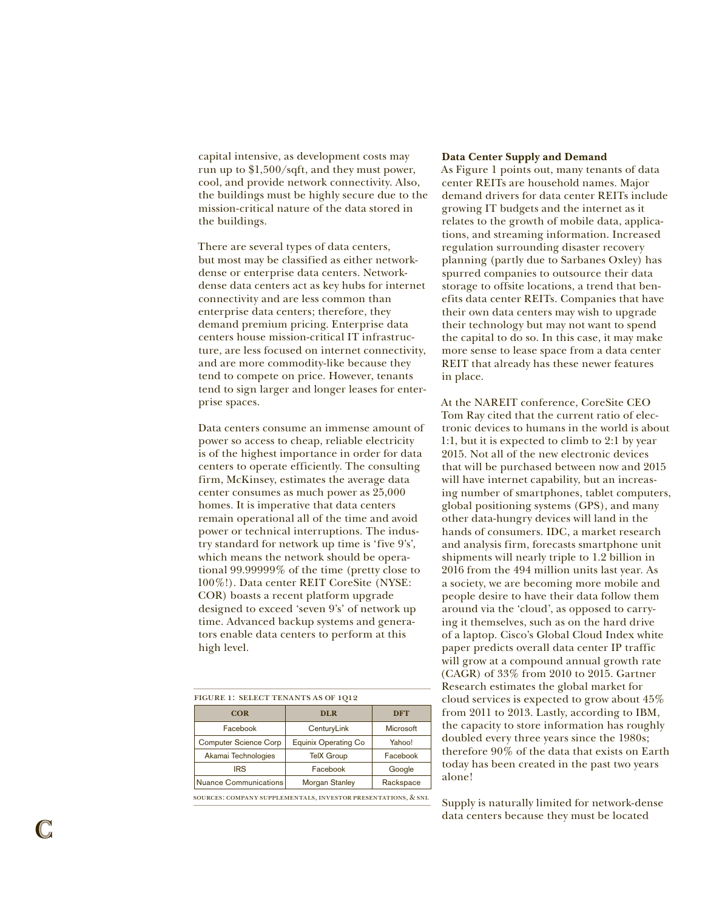capital intensive, as development costs may run up to \$1,500/sqft, and they must power, cool, and provide network connectivity. Also, the buildings must be highly secure due to the mission-critical nature of the data stored in the buildings.

There are several types of data centers, but most may be classified as either networkdense or enterprise data centers. Networkdense data centers act as key hubs for internet connectivity and are less common than enterprise data centers; therefore, they demand premium pricing. Enterprise data centers house mission-critical IT infrastructure, are less focused on internet connectivity, and are more commodity-like because they tend to compete on price. However, tenants tend to sign larger and longer leases for enterprise spaces.

Data centers consume an immense amount of power so access to cheap, reliable electricity is of the highest importance in order for data centers to operate efficiently. The consulting firm, McKinsey, estimates the average data center consumes as much power as 25,000 homes. It is imperative that data centers remain operational all of the time and avoid power or technical interruptions. The industry standard for network up time is 'five 9's', which means the network should be operational 99.99999% of the time (pretty close to 100%!). Data center REIT CoreSite (NYSE: COR) boasts a recent platform upgrade designed to exceed 'seven 9's' of network up time. Advanced backup systems and generators enable data centers to perform at this high level.

| FIGURE 1: SELECT TENANTS AS OF 1012 |  |  |
|-------------------------------------|--|--|
| <b>DFT</b>                          |  |  |
| Microsoft                           |  |  |
| Yahoo!                              |  |  |
| Facebook                            |  |  |
| Google                              |  |  |
| Rackspace                           |  |  |
|                                     |  |  |

sources: company supplementals, investor presentations, & snl

### **Data Center Supply and Demand**

As Figure 1 points out, many tenants of data center REITs are household names. Major demand drivers for data center REITs include growing IT budgets and the internet as it relates to the growth of mobile data, applications, and streaming information. Increased regulation surrounding disaster recovery planning (partly due to Sarbanes Oxley) has spurred companies to outsource their data storage to offsite locations, a trend that benefits data center REITs. Companies that have their own data centers may wish to upgrade their technology but may not want to spend the capital to do so. In this case, it may make more sense to lease space from a data center REIT that already has these newer features in place.

At the NAREIT conference, CoreSite CEO Tom Ray cited that the current ratio of electronic devices to humans in the world is about 1:1, but it is expected to climb to 2:1 by year 2015. Not all of the new electronic devices that will be purchased between now and 2015 will have internet capability, but an increasing number of smartphones, tablet computers, global positioning systems (GPS), and many other data-hungry devices will land in the hands of consumers. IDC, a market research and analysis firm, forecasts smartphone unit shipments will nearly triple to 1.2 billion in 2016 from the 494 million units last year. As a society, we are becoming more mobile and people desire to have their data follow them around via the 'cloud', as opposed to carrying it themselves, such as on the hard drive of a laptop. Cisco's Global Cloud Index white paper predicts overall data center IP traffic will grow at a compound annual growth rate (CAGR) of 33% from 2010 to 2015. Gartner Research estimates the global market for cloud services is expected to grow about 45% from 2011 to 2013. Lastly, according to IBM, the capacity to store information has roughly doubled every three years since the 1980s; therefore 90% of the data that exists on Earth today has been created in the past two years alone!

Supply is naturally limited for network-dense data centers because they must be located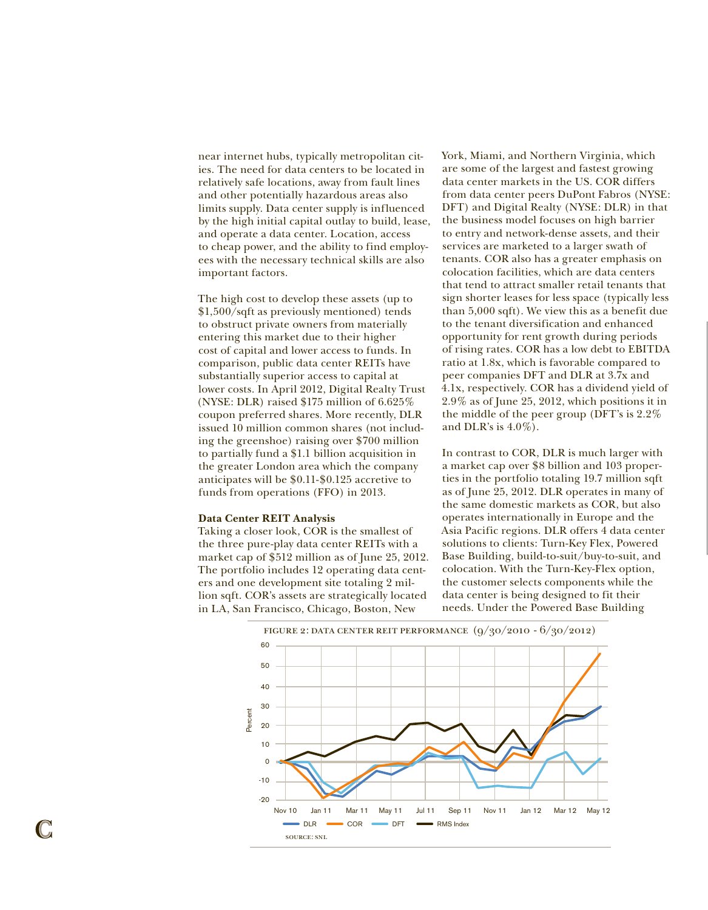near internet hubs, typically metropolitan cities. The need for data centers to be located in relatively safe locations, away from fault lines and other potentially hazardous areas also limits supply. Data center supply is influenced by the high initial capital outlay to build, lease, and operate a data center. Location, access to cheap power, and the ability to find employees with the necessary technical skills are also important factors.

The high cost to develop these assets (up to \$1,500/sqft as previously mentioned) tends to obstruct private owners from materially entering this market due to their higher cost of capital and lower access to funds. In comparison, public data center REITs have substantially superior access to capital at lower costs. In April 2012, Digital Realty Trust (NYSE: DLR) raised \$175 million of 6.625% coupon preferred shares. More recently, DLR issued 10 million common shares (not including the greenshoe) raising over \$700 million to partially fund a \$1.1 billion acquisition in the greater London area which the company anticipates will be \$0.11-\$0.125 accretive to funds from operations (FFO) in 2013.

#### **Data Center REIT Analysis**

Taking a closer look, COR is the smallest of the three pure-play data center REITs with a market cap of \$512 million as of June 25, 2012. The portfolio includes 12 operating data centers and one development site totaling 2 million sqft. COR's assets are strategically located in LA, San Francisco, Chicago, Boston, New

York, Miami, and Northern Virginia, which are some of the largest and fastest growing data center markets in the US. COR differs from data center peers DuPont Fabros (NYSE: DFT) and Digital Realty (NYSE: DLR) in that the business model focuses on high barrier to entry and network-dense assets, and their services are marketed to a larger swath of tenants. COR also has a greater emphasis on colocation facilities, which are data centers that tend to attract smaller retail tenants that sign shorter leases for less space (typically less than 5,000 sqft). We view this as a benefit due to the tenant diversification and enhanced opportunity for rent growth during periods of rising rates. COR has a low debt to EBITDA ratio at 1.8x, which is favorable compared to peer companies DFT and DLR at 3.7x and 4.1x, respectively. COR has a dividend yield of 2.9% as of June 25, 2012, which positions it in the middle of the peer group (DFT's is 2.2% and DLR's is  $4.0\%$ ).

In contrast to COR, DLR is much larger with a market cap over \$8 billion and 103 properties in the portfolio totaling 19.7 million sqft as of June 25, 2012. DLR operates in many of the same domestic markets as COR, but also operates internationally in Europe and the Asia Pacific regions. DLR offers 4 data center solutions to clients: Turn-Key Flex, Powered Base Building, build-to-suit/buy-to-suit, and colocation. With the Turn-Key-Flex option, the customer selects components while the data center is being designed to fit their needs. Under the Powered Base Building